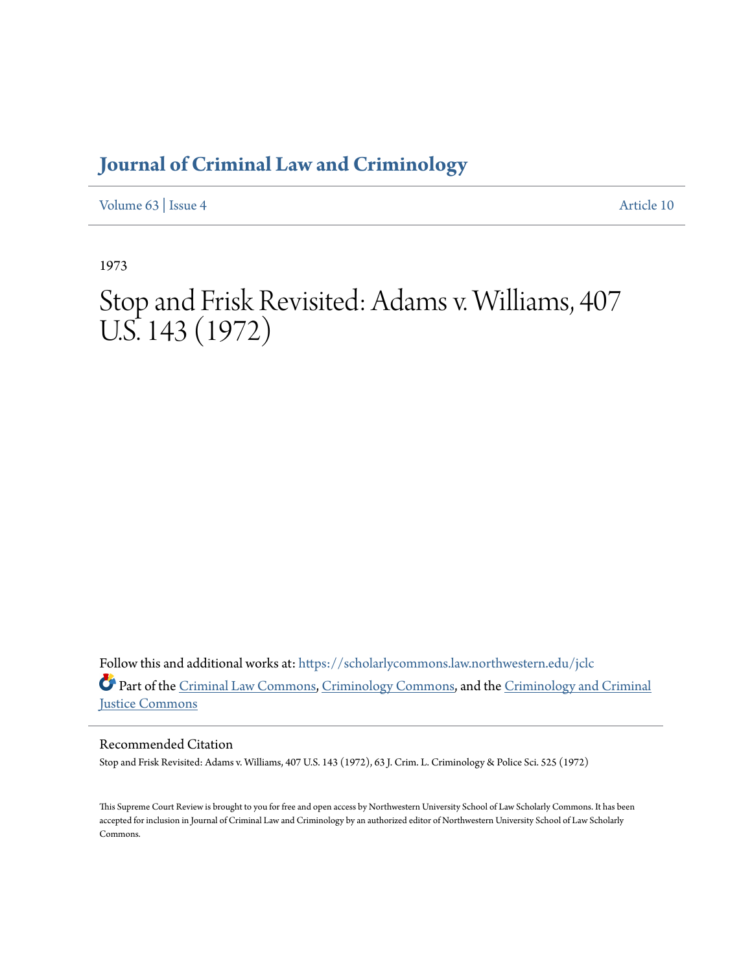# **[Journal of Criminal Law and Criminology](https://scholarlycommons.law.northwestern.edu/jclc?utm_source=scholarlycommons.law.northwestern.edu%2Fjclc%2Fvol63%2Fiss4%2F10&utm_medium=PDF&utm_campaign=PDFCoverPages)**

[Volume 63](https://scholarlycommons.law.northwestern.edu/jclc/vol63?utm_source=scholarlycommons.law.northwestern.edu%2Fjclc%2Fvol63%2Fiss4%2F10&utm_medium=PDF&utm_campaign=PDFCoverPages) | [Issue 4](https://scholarlycommons.law.northwestern.edu/jclc/vol63/iss4?utm_source=scholarlycommons.law.northwestern.edu%2Fjclc%2Fvol63%2Fiss4%2F10&utm_medium=PDF&utm_campaign=PDFCoverPages) [Article 10](https://scholarlycommons.law.northwestern.edu/jclc/vol63/iss4/10?utm_source=scholarlycommons.law.northwestern.edu%2Fjclc%2Fvol63%2Fiss4%2F10&utm_medium=PDF&utm_campaign=PDFCoverPages)

1973

# Stop and Frisk Revisited: Adams v. Williams, 407 U.S. 143 (1972)

Follow this and additional works at: [https://scholarlycommons.law.northwestern.edu/jclc](https://scholarlycommons.law.northwestern.edu/jclc?utm_source=scholarlycommons.law.northwestern.edu%2Fjclc%2Fvol63%2Fiss4%2F10&utm_medium=PDF&utm_campaign=PDFCoverPages) Part of the [Criminal Law Commons](http://network.bepress.com/hgg/discipline/912?utm_source=scholarlycommons.law.northwestern.edu%2Fjclc%2Fvol63%2Fiss4%2F10&utm_medium=PDF&utm_campaign=PDFCoverPages), [Criminology Commons](http://network.bepress.com/hgg/discipline/417?utm_source=scholarlycommons.law.northwestern.edu%2Fjclc%2Fvol63%2Fiss4%2F10&utm_medium=PDF&utm_campaign=PDFCoverPages), and the [Criminology and Criminal](http://network.bepress.com/hgg/discipline/367?utm_source=scholarlycommons.law.northwestern.edu%2Fjclc%2Fvol63%2Fiss4%2F10&utm_medium=PDF&utm_campaign=PDFCoverPages) [Justice Commons](http://network.bepress.com/hgg/discipline/367?utm_source=scholarlycommons.law.northwestern.edu%2Fjclc%2Fvol63%2Fiss4%2F10&utm_medium=PDF&utm_campaign=PDFCoverPages)

Recommended Citation

Stop and Frisk Revisited: Adams v. Williams, 407 U.S. 143 (1972), 63 J. Crim. L. Criminology & Police Sci. 525 (1972)

This Supreme Court Review is brought to you for free and open access by Northwestern University School of Law Scholarly Commons. It has been accepted for inclusion in Journal of Criminal Law and Criminology by an authorized editor of Northwestern University School of Law Scholarly Commons.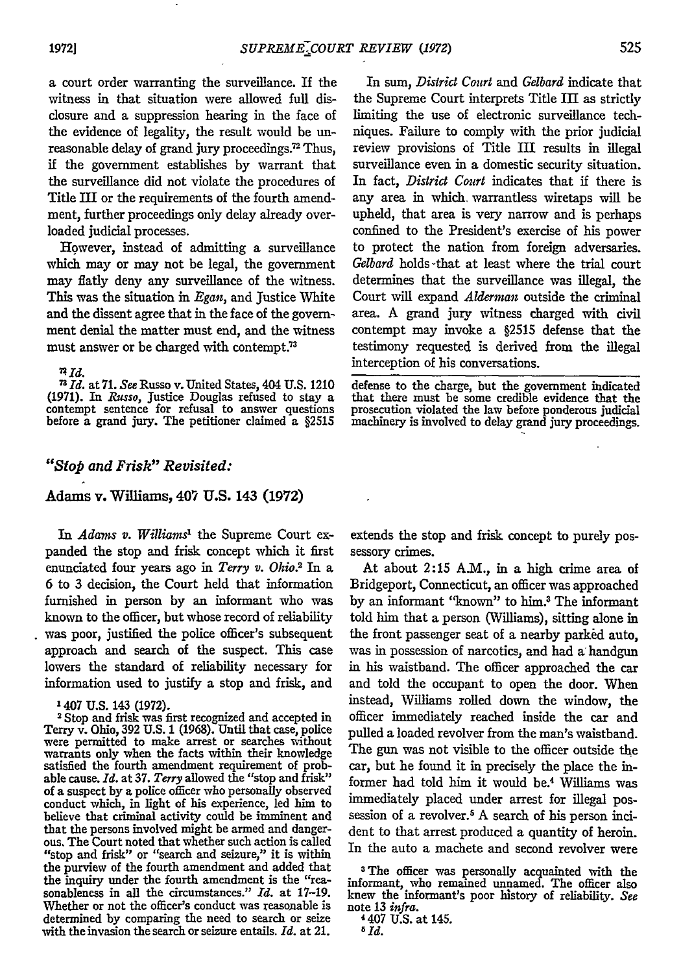a court order warranting the surveillance. If the witness in that situation were allowed full disclosure and a suppression hearing in the face of the evidence of legality, the result would be unreasonable delay of grand jury proceedings.<sup>72</sup> Thus, if the government establishes by warrant that the surveillance did not violate the procedures of Title III or the requirements of the fourth amendment, further proceedings only delay already overloaded judicial processes.

However, instead of admitting a surveillance which may or may not be legal, the government may flatly deny any surveillance of the witness. This was the situation in Egan, and Justice White and the dissent agree that in the face of the government denial the matter must end, and the witness must answer or be charged with contempt.<sup>73</sup>

#### *'A Id.*

**<sup>72</sup>***Id.* at 71. *See* Russo v. United States, 404 U.S. 1210 (1971). In *Russo,* Justice Douglas refused to stay a contempt sentence for refusal to answer questions before a grand jury. The petitioner claimed a **§2515**

## *"StoP and Frisk" Revisited:*

## Adams v. Williams, 407 U.S. 143 **(1972)**

In *Adams v. Williams*<sup>1</sup> the Supreme Court expanded the stop and frisk concept which it first enunciated four years ago in *Terry v. Ohio.2* In a **6** to **3** decision, the Court held that information furnished in person **by** an informant who was known to the officer, but whose record of reliability was poor, justified the police officer's subsequent approach and search of the suspect. This case lowers the standard of reliability necessary for information used to justify a stop and frisk, and

#### **1407 U.S.** 143 **(1972).**

<sup>2</sup> Stop and frisk was first recognized and accepted in Terry v. Ohio, **392 U.S. 1 (1968).** Until that case, police were permitted to make arrest or searches without warrants only when the facts within their knowledge satisfied the fourth amendment requirement of probable cause. *Id.* at 37. *Terry* allowed the "stop and frisk" of a suspect by a police officer who personally observed conduct which, in light of his experience, led him to believe that criminal activity could be imminent and that the persons involved might be armed and danger- ous. The Court noted that whether such action is called "stop and frisk" or "search and seizure," it is within the purview of the fourth amendment and added that the inquiry under the fourth amendment is the "reasonableness in all the circumstances." *Id.* at 17-19. Whether or not the officer's conduct was reasonable is determined **by** comparing the need to search **or** seize with the invasion the search or seizure entails. *Id.* at 21.

In sum, *District Court and Gelbard* indicate that the Supreme Court interprets Title III as strictly limiting the use of electronic surveillance techniques. Failure to comply with the prior judicial review provisions of Title III results in illegal surveillance even in a domestic security situation. In fact, *District Court* indicates that if there is any area in which, warrantless wiretaps will be upheld, that area is very narrow and is perhaps confined to the President's exercise of his power to protect the nation from foreign adversaries. *Gelbard* holds -that at least where the trial court determines that the surveillance was illegal, the Court will expand *Alderman* outside the criminal area. A grand jury witness charged with civil contempt may invoke a §2515 defense that the testimony requested is derived from the illegal interception of his conversations.

defense to the charge, but the government indicated that there must be some credible evidence that the prosecution violated the law before ponderous judicial machinery is involved to delay grand jury proceedings.

extends the stop and frisk concept to purely possessory crimes.

At about 2:15 A.M., in a high crime area of Bridgeport, Connecticut, an officer was approached by an informant "known" to him.3 The informant told him that a person (Williams), sitting alone in the front passenger seat of a nearby parked auto, was in possession of narcotics, and had a handgun in his waistband. The officer approached the car and told the occupant to open the door. When instead, Williams rolled down the window, the officer immediately reached inside the car and pulled a loaded revolver from the man's waistband. The gun was not visible to the officer outside the. car, but he found it in precisely the place the informer had told him it would be.4 Williams was immediately placed under arrest for illegal possession of a revolver.5 A search of his person *inci*dent to that arrest produced a quantity of heroin. In the auto a machete and second revolver were

3The officer was personally acquainted with the informant, who remained unnamed. The officer also knew the informant's poor history of reliability. *See* note 13 *infra.*

'407 **U.S.** at 145. *<sup>5</sup>*

*Id.*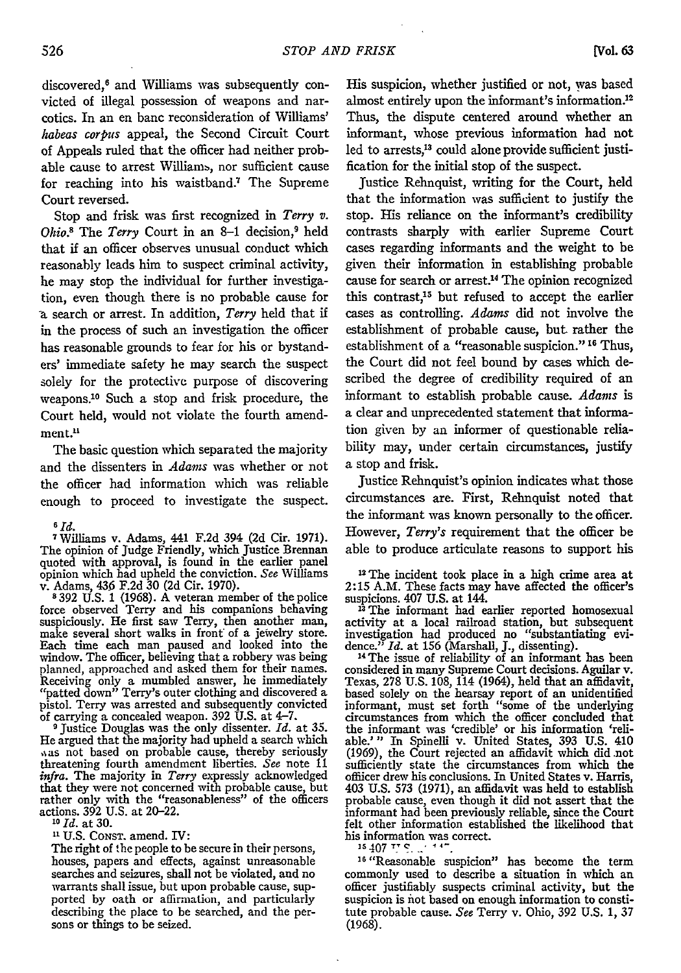discovered,<sup>6</sup> and Williams was subsequently convicted of illegal possession of weapons and narcotics. In an en banc reconsideration of Williams' *habeas corpus* appeal, the Second Circuit Court of Appeals ruled that the officer had neither probable cause to arrest Williams, nor sufficient cause for reaching into his waistband.<sup>7</sup> The Supreme Court reversed.

Stop and frisk was first recognized in *Terry v. Ohio.8* The *Terry* Court in an 8-1 decision,9 held that if an officer observes unusual conduct which reasonably leads him to suspect criminal activity, he may stop the individual for further investigation, even though there is no probable cause for -a search or arrest. In addition, *Terry* held that if in the process of such an investigation the officer has reasonable grounds to fear for his or bystanders' immediate safety he may search the suspect solely for the protective purpose of discovering weapons.<sup>10</sup> Such a stop and frisk procedure, the Court held, would not violate the fourth amendment.<sup>11</sup>

The basic question which separated the majority and the dissenters in *Adams* was whether or not the officer had information which was reliable enough to proceed to investigate the suspect.

**6 Id.** 7Williams v. Adams, 441 **F.2d** 394 **(2d** Cir. 1971). The opinion of Judge Friendly, which Justice Brennan quoted with approval, is found in the earlier panel opinion which had upheld the conviction. *See* Williams v. Adams, **43f** F.2d 30 (2d Cir. 1970).

**8 392** U.S. 1 (1968). A veteran member of the police force observed Terry and his companions behaving suspiciously. He first saw Terry, then another man, make several short walks in front of a jewelry store. Each time each man paused and looked into the window. The officer, believing that a robbery was being planned, approached and asked them for their names. planned, approached and asked them for their names. Receiving only a mumbled answer, he immediately "patted down" Terry's outer clothing and discovered a pistol. Terry was arrested and subsequently convicted pistol. Terry was arrested and subsequently convicted of carrying a concealed weapon. 392 U.S. at  $4-7$ .

**9** Justice Douglas was the only dissenter. *Id.* at 35. He argued that the majority had upheld a search which was not based on probable cause, thereby seriously threatening fourth amendment liberties. *See* note 11 *infra.* The majority in *Terry* expressly acknowledged that they were not concerned with probable cause, but rather only with the "reasonableness" of the officers actions. **392** U.S. at 20-22.

*10 Id.* at 30.

**"** U.S. CONsT. amend. IV:

The right of the people to be secure in their persons, houses, papers and effects, against unreasonable searches and seizures, shall not be violated, and no warrants shall issue, but upon probable cause, supported by oath or affirmation, and particularly describing the place to be searched, and the per- sons or things to be seized. His suspicion, whether justified or not, was based almost entirely upon the informant's information.<sup>12</sup> Thus, the dispute centered around whether an informant, whose previous information had not led to arrests,<sup>13</sup> could alone provide sufficient justification for the initial stop of the suspect.

Justice Rchnquist, writing for the Court, held that the information was sufficient to justify the stop. His reliance on the informant's credibility contrasts sharply with earlier Supreme Court cases regarding informants and the weight to be given their information in establishing probable cause for search or arrest.<sup>14</sup> The opinion recognized this contrast, 15 but refused to accept the earlier cases as controlling. *Adams* did not involve the establishment of probable cause, but rather the establishment of a "reasonable suspicion." **16** Thus, the Court did not feel bound by cases which described the degree of credibility required of an informant to establish probable cause. *Adams is* a clear and unprecedented statement that information given by an informer of questionable reliability may, under certain circumstances, justify a stop and frisk.

Justice Rehnquist's opinion indicates what those circumstances are. First, Rehnquist noted that the informant was known personally to the officer. However, *Terry's* requirement that the officer be able to produce articulate reasons to support his

<sup>12</sup> The incident took place in a high crime area at 2:15 A.M. These facts may have affected the officer's suspicions. 407 U.S. at 144.

<sup>13</sup> The informant had earlier reported homosexual activity at a local railroad station, but subsequent<br>investigation had produced no "substantiating evi-<br>dence." *Id.* at 156 (Marshall, J., dissenting).<br><sup>14</sup>The issue of reliability of an informant has been

considered in many Supreme Court decisions. Aguilar v. Texas, 278 U.S. 108, 114 (1964), held that an affidavit, based solely on the hearsay report of an unidentified informant, must set forth "some of the underlying circumstances from which the officer concluded that the informant was 'credible' or his information 'reliable.'" In Spinelli v. United States, 393 U.S. 410 (1969), the Court rejected an affidavit which did .not sufficiently state the circumstances from which the offiicer drew his conclusions. In United States v. Harris, 403 U.S. 573 (1971), an affidavit was held to establish probable cause, even though it did not assert that the informant had been previously reliable, since the Court felt other information established the likelihood that his information was correct.<br> $^{15}$   $^{407}$  <sup>T</sup><sub>2</sub>...  $^{\prime}$ <sup>44</sup>.

<sup>16</sup> "Reasonable suspicion" has become the term commonly used to describe a situation in which an officer justifiably suspects criminal activity, but the suspicion is not based on enough information to constitute probable cause. *See* Terry v. Ohio, 392 U.S. **1,** 37 (1968).